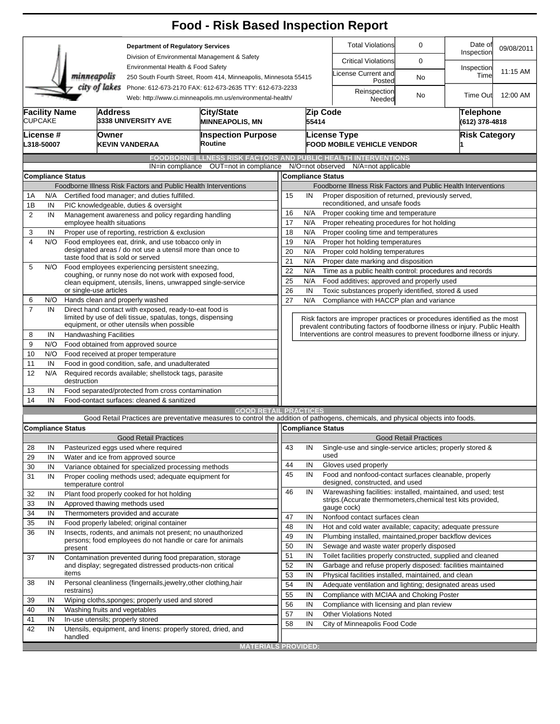|                                                                                                                                        |                                        |                                                                                                                                                                           |                                                                                                             |                                                                                                                      | <b>Food - Risk Based Inspection Report</b>                                                                                        |                                                                                                                                                          |                                                                      |                                                                            |                                   |                       |            |  |  |
|----------------------------------------------------------------------------------------------------------------------------------------|----------------------------------------|---------------------------------------------------------------------------------------------------------------------------------------------------------------------------|-------------------------------------------------------------------------------------------------------------|----------------------------------------------------------------------------------------------------------------------|-----------------------------------------------------------------------------------------------------------------------------------|----------------------------------------------------------------------------------------------------------------------------------------------------------|----------------------------------------------------------------------|----------------------------------------------------------------------------|-----------------------------------|-----------------------|------------|--|--|
|                                                                                                                                        |                                        |                                                                                                                                                                           |                                                                                                             | <b>Department of Regulatory Services</b><br>Division of Environmental Management & Safety                            |                                                                                                                                   |                                                                                                                                                          |                                                                      | <b>Total Violations</b>                                                    | 0                                 | Date of<br>Inspection | 09/08/2011 |  |  |
|                                                                                                                                        |                                        |                                                                                                                                                                           |                                                                                                             |                                                                                                                      |                                                                                                                                   |                                                                                                                                                          |                                                                      | <b>Critical Violations</b>                                                 | 0                                 |                       |            |  |  |
|                                                                                                                                        |                                        | minneapolis                                                                                                                                                               |                                                                                                             | Environmental Health & Food Safety                                                                                   |                                                                                                                                   | 250 South Fourth Street, Room 414, Minneapolis, Minnesota 55415                                                                                          |                                                                      |                                                                            | icense Current and<br><b>No</b>   | Inspection<br>Time    | 11:15 AM   |  |  |
| city of lakes<br>Phone: 612-673-2170 FAX: 612-673-2635 TTY: 612-673-2233<br>Web: http://www.ci.minneapolis.mn.us/environmental-health/ |                                        |                                                                                                                                                                           |                                                                                                             |                                                                                                                      |                                                                                                                                   |                                                                                                                                                          |                                                                      | Posted<br>Reinspection<br>Needed                                           | No                                | <b>Time Out</b>       | 12:00 AM   |  |  |
|                                                                                                                                        | <b>Facility Name</b><br><b>CUPCAKE</b> |                                                                                                                                                                           | <b>Address</b>                                                                                              | 3338 UNIVERSITY AVE                                                                                                  | City/State<br><b>MINNEAPOLIS, MN</b>                                                                                              |                                                                                                                                                          | 55414                                                                | Zip Code                                                                   | Telephone<br>(612) 378-4818       |                       |            |  |  |
| License #<br>L318-50007                                                                                                                |                                        |                                                                                                                                                                           | Owner                                                                                                       | <b>KEVIN VANDERAA</b>                                                                                                | <b>Inspection Purpose</b><br>Routine                                                                                              |                                                                                                                                                          |                                                                      | <b>License Type</b>                                                        | <b>FOOD MOBILE VEHICLE VENDOR</b> |                       |            |  |  |
|                                                                                                                                        |                                        |                                                                                                                                                                           |                                                                                                             |                                                                                                                      | <b>FOODBORNE ILLNESS RISK FACTORS AND PUBLIC HEALTH INTERVENTIONS</b>                                                             |                                                                                                                                                          |                                                                      |                                                                            |                                   |                       |            |  |  |
|                                                                                                                                        |                                        |                                                                                                                                                                           |                                                                                                             |                                                                                                                      | IN=in compliance OUT=not in compliance                                                                                            |                                                                                                                                                          |                                                                      | N/O=not observed<br>N/A=not applicable                                     |                                   |                       |            |  |  |
|                                                                                                                                        |                                        | <b>Compliance Status</b>                                                                                                                                                  |                                                                                                             |                                                                                                                      |                                                                                                                                   |                                                                                                                                                          |                                                                      | <b>Compliance Status</b>                                                   |                                   |                       |            |  |  |
|                                                                                                                                        |                                        |                                                                                                                                                                           |                                                                                                             |                                                                                                                      | Foodborne Illness Risk Factors and Public Health Interventions                                                                    | Foodborne Illness Risk Factors and Public Health Interventions                                                                                           |                                                                      |                                                                            |                                   |                       |            |  |  |
| 1A                                                                                                                                     | N/A                                    |                                                                                                                                                                           |                                                                                                             | Certified food manager; and duties fulfilled.                                                                        |                                                                                                                                   | Proper disposition of returned, previously served,<br>15<br>IN                                                                                           |                                                                      |                                                                            |                                   |                       |            |  |  |
| 1B                                                                                                                                     | IN                                     |                                                                                                                                                                           |                                                                                                             | PIC knowledgeable, duties & oversight                                                                                |                                                                                                                                   | reconditioned, and unsafe foods                                                                                                                          |                                                                      |                                                                            |                                   |                       |            |  |  |
| 2                                                                                                                                      | IN                                     | Management awareness and policy regarding handling<br>employee health situations                                                                                          |                                                                                                             |                                                                                                                      |                                                                                                                                   |                                                                                                                                                          | 16<br>N/A<br>Proper cooking time and temperature                     |                                                                            |                                   |                       |            |  |  |
| 3                                                                                                                                      | IN                                     |                                                                                                                                                                           |                                                                                                             | Proper use of reporting, restriction & exclusion                                                                     |                                                                                                                                   | 17<br>N/A<br>Proper reheating procedures for hot holding<br>18                                                                                           |                                                                      |                                                                            |                                   |                       |            |  |  |
| 4                                                                                                                                      | N/O                                    |                                                                                                                                                                           |                                                                                                             | Food employees eat, drink, and use tobacco only in                                                                   |                                                                                                                                   | N/A<br>Proper cooling time and temperatures<br>19<br>N/A<br>Proper hot holding temperatures                                                              |                                                                      |                                                                            |                                   |                       |            |  |  |
|                                                                                                                                        |                                        |                                                                                                                                                                           |                                                                                                             | designated areas / do not use a utensil more than once to                                                            |                                                                                                                                   | 20<br>N/A<br>Proper cold holding temperatures                                                                                                            |                                                                      |                                                                            |                                   |                       |            |  |  |
|                                                                                                                                        |                                        |                                                                                                                                                                           |                                                                                                             | taste food that is sold or served                                                                                    |                                                                                                                                   | 21<br>N/A<br>Proper date marking and disposition                                                                                                         |                                                                      |                                                                            |                                   |                       |            |  |  |
| 5                                                                                                                                      | N/O                                    | Food employees experiencing persistent sneezing,<br>coughing, or runny nose do not work with exposed food,<br>clean equipment, utensils, linens, unwrapped single-service |                                                                                                             |                                                                                                                      |                                                                                                                                   |                                                                                                                                                          | 22<br>N/A<br>Time as a public health control: procedures and records |                                                                            |                                   |                       |            |  |  |
|                                                                                                                                        |                                        |                                                                                                                                                                           |                                                                                                             |                                                                                                                      |                                                                                                                                   |                                                                                                                                                          | 25<br>N/A<br>Food additives; approved and properly used              |                                                                            |                                   |                       |            |  |  |
|                                                                                                                                        |                                        | or single-use articles                                                                                                                                                    |                                                                                                             |                                                                                                                      |                                                                                                                                   | 26<br>IN<br>Toxic substances properly identified, stored & used                                                                                          |                                                                      |                                                                            |                                   |                       |            |  |  |
| 6                                                                                                                                      | N/O                                    |                                                                                                                                                                           |                                                                                                             | Hands clean and properly washed                                                                                      |                                                                                                                                   | 27<br>N/A<br>Compliance with HACCP plan and variance                                                                                                     |                                                                      |                                                                            |                                   |                       |            |  |  |
| $\overline{7}$                                                                                                                         | IN                                     |                                                                                                                                                                           |                                                                                                             | Direct hand contact with exposed, ready-to-eat food is<br>limited by use of deli tissue, spatulas, tongs, dispensing |                                                                                                                                   | Risk factors are improper practices or procedures identified as the most<br>prevalent contributing factors of foodborne illness or injury. Public Health |                                                                      |                                                                            |                                   |                       |            |  |  |
|                                                                                                                                        |                                        |                                                                                                                                                                           |                                                                                                             | equipment, or other utensils when possible                                                                           |                                                                                                                                   |                                                                                                                                                          |                                                                      |                                                                            |                                   |                       |            |  |  |
| 8<br>9                                                                                                                                 | IN<br>N/O                              | <b>Handwashing Facilities</b>                                                                                                                                             |                                                                                                             | Food obtained from approved source                                                                                   |                                                                                                                                   |                                                                                                                                                          |                                                                      | Interventions are control measures to prevent foodborne illness or injury. |                                   |                       |            |  |  |
| 10                                                                                                                                     | N/O                                    |                                                                                                                                                                           |                                                                                                             | Food received at proper temperature                                                                                  |                                                                                                                                   |                                                                                                                                                          |                                                                      |                                                                            |                                   |                       |            |  |  |
| 11                                                                                                                                     | IN                                     |                                                                                                                                                                           |                                                                                                             | Food in good condition, safe, and unadulterated                                                                      |                                                                                                                                   |                                                                                                                                                          |                                                                      |                                                                            |                                   |                       |            |  |  |
| 12                                                                                                                                     | N/A                                    | destruction                                                                                                                                                               |                                                                                                             | Required records available; shellstock tags, parasite                                                                |                                                                                                                                   |                                                                                                                                                          |                                                                      |                                                                            |                                   |                       |            |  |  |
| 13                                                                                                                                     | IN                                     |                                                                                                                                                                           |                                                                                                             | Food separated/protected from cross contamination                                                                    |                                                                                                                                   |                                                                                                                                                          |                                                                      |                                                                            |                                   |                       |            |  |  |
| 14                                                                                                                                     | IN                                     |                                                                                                                                                                           |                                                                                                             | Food-contact surfaces: cleaned & sanitized                                                                           |                                                                                                                                   |                                                                                                                                                          |                                                                      |                                                                            |                                   |                       |            |  |  |
|                                                                                                                                        |                                        |                                                                                                                                                                           |                                                                                                             |                                                                                                                      | <b>GOOD RETAIL PRACTICES</b>                                                                                                      |                                                                                                                                                          |                                                                      |                                                                            |                                   |                       |            |  |  |
|                                                                                                                                        |                                        |                                                                                                                                                                           |                                                                                                             |                                                                                                                      | Good Retail Practices are preventative measures to control the addition of pathogens, chemicals, and physical objects into foods. |                                                                                                                                                          |                                                                      |                                                                            |                                   |                       |            |  |  |
|                                                                                                                                        |                                        | <b>Compliance Status</b>                                                                                                                                                  |                                                                                                             |                                                                                                                      |                                                                                                                                   |                                                                                                                                                          |                                                                      | Compliance Status                                                          |                                   |                       |            |  |  |
|                                                                                                                                        |                                        |                                                                                                                                                                           |                                                                                                             | <b>Good Retail Practices</b>                                                                                         |                                                                                                                                   |                                                                                                                                                          |                                                                      |                                                                            | <b>Good Retail Practices</b>      |                       |            |  |  |
| 28                                                                                                                                     | IN                                     |                                                                                                                                                                           |                                                                                                             | Pasteurized eggs used where required                                                                                 |                                                                                                                                   | 43                                                                                                                                                       | IN                                                                   | Single-use and single-service articles; properly stored &<br>used          |                                   |                       |            |  |  |
| 29                                                                                                                                     | IN                                     | Water and ice from approved source                                                                                                                                        |                                                                                                             |                                                                                                                      |                                                                                                                                   | 44                                                                                                                                                       | IN                                                                   | Gloves used properly                                                       |                                   |                       |            |  |  |
| 30<br>31                                                                                                                               | IN                                     |                                                                                                                                                                           | Variance obtained for specialized processing methods<br>Proper cooling methods used; adequate equipment for |                                                                                                                      |                                                                                                                                   |                                                                                                                                                          | IN                                                                   | Food and nonfood-contact surfaces cleanable, properly                      |                                   |                       |            |  |  |
|                                                                                                                                        | IN                                     | temperature control                                                                                                                                                       |                                                                                                             |                                                                                                                      |                                                                                                                                   | 45                                                                                                                                                       |                                                                      | designed, constructed, and used                                            |                                   |                       |            |  |  |
| 32                                                                                                                                     | IN                                     |                                                                                                                                                                           |                                                                                                             | Plant food properly cooked for hot holding                                                                           |                                                                                                                                   | 46                                                                                                                                                       | IN                                                                   | Warewashing facilities: installed, maintained, and used; test              |                                   |                       |            |  |  |
| 33                                                                                                                                     | IN                                     |                                                                                                                                                                           |                                                                                                             | Approved thawing methods used                                                                                        |                                                                                                                                   |                                                                                                                                                          |                                                                      | strips. (Accurate thermometers, chemical test kits provided,               |                                   |                       |            |  |  |
| 34                                                                                                                                     | IN                                     |                                                                                                                                                                           |                                                                                                             | Thermometers provided and accurate                                                                                   |                                                                                                                                   | 47                                                                                                                                                       | IN                                                                   | gauge cock)<br>Nonfood contact surfaces clean                              |                                   |                       |            |  |  |
| 35                                                                                                                                     | IN                                     |                                                                                                                                                                           |                                                                                                             | Food properly labeled; original container                                                                            |                                                                                                                                   | 48                                                                                                                                                       | IN<br>Hot and cold water available; capacity; adequate pressure      |                                                                            |                                   |                       |            |  |  |
| 36                                                                                                                                     | IN                                     |                                                                                                                                                                           |                                                                                                             | Insects, rodents, and animals not present; no unauthorized                                                           |                                                                                                                                   | 49                                                                                                                                                       | IN                                                                   | Plumbing installed, maintained, proper backflow devices                    |                                   |                       |            |  |  |
|                                                                                                                                        |                                        | present                                                                                                                                                                   |                                                                                                             |                                                                                                                      | persons; food employees do not handle or care for animals                                                                         | 50                                                                                                                                                       | IN                                                                   | Sewage and waste water properly disposed                                   |                                   |                       |            |  |  |
| 37                                                                                                                                     | IN                                     |                                                                                                                                                                           |                                                                                                             | Contamination prevented during food preparation, storage                                                             |                                                                                                                                   | 51                                                                                                                                                       | IN                                                                   | Toilet facilities properly constructed, supplied and cleaned               |                                   |                       |            |  |  |
|                                                                                                                                        |                                        |                                                                                                                                                                           |                                                                                                             | and display; segregated distressed products-non critical                                                             |                                                                                                                                   | 52<br>IN<br>Garbage and refuse properly disposed: facilities maintained                                                                                  |                                                                      |                                                                            |                                   |                       |            |  |  |
|                                                                                                                                        |                                        | items                                                                                                                                                                     |                                                                                                             |                                                                                                                      |                                                                                                                                   | 53<br>IN<br>Physical facilities installed, maintained, and clean                                                                                         |                                                                      |                                                                            |                                   |                       |            |  |  |
| 38                                                                                                                                     | IN                                     |                                                                                                                                                                           |                                                                                                             | Personal cleanliness (fingernails, jewelry, other clothing, hair                                                     |                                                                                                                                   | 54                                                                                                                                                       | IN<br>Adequate ventilation and lighting; designated areas used       |                                                                            |                                   |                       |            |  |  |
|                                                                                                                                        |                                        | restrains)                                                                                                                                                                |                                                                                                             | Wiping cloths, sponges; properly used and stored                                                                     |                                                                                                                                   |                                                                                                                                                          | 55<br>Compliance with MCIAA and Choking Poster<br>IN                 |                                                                            |                                   |                       |            |  |  |
| 39<br>40                                                                                                                               | IN<br>IN                               |                                                                                                                                                                           |                                                                                                             |                                                                                                                      |                                                                                                                                   | 56                                                                                                                                                       | IN<br>Compliance with licensing and plan review                      |                                                                            |                                   |                       |            |  |  |
| 41                                                                                                                                     | IN                                     | Washing fruits and vegetables<br>In-use utensils; properly stored                                                                                                         |                                                                                                             |                                                                                                                      |                                                                                                                                   |                                                                                                                                                          |                                                                      | 57<br>IN<br><b>Other Violations Noted</b>                                  |                                   |                       |            |  |  |
| 42                                                                                                                                     | IN                                     |                                                                                                                                                                           |                                                                                                             |                                                                                                                      | Utensils, equipment, and linens: properly stored, dried, and                                                                      | 58                                                                                                                                                       | IN                                                                   | City of Minneapolis Food Code                                              |                                   |                       |            |  |  |
|                                                                                                                                        |                                        | handled                                                                                                                                                                   |                                                                                                             |                                                                                                                      |                                                                                                                                   |                                                                                                                                                          |                                                                      |                                                                            |                                   |                       |            |  |  |
|                                                                                                                                        |                                        |                                                                                                                                                                           |                                                                                                             |                                                                                                                      | <b>MATERIALS PROVIDED:</b>                                                                                                        |                                                                                                                                                          |                                                                      |                                                                            |                                   |                       |            |  |  |